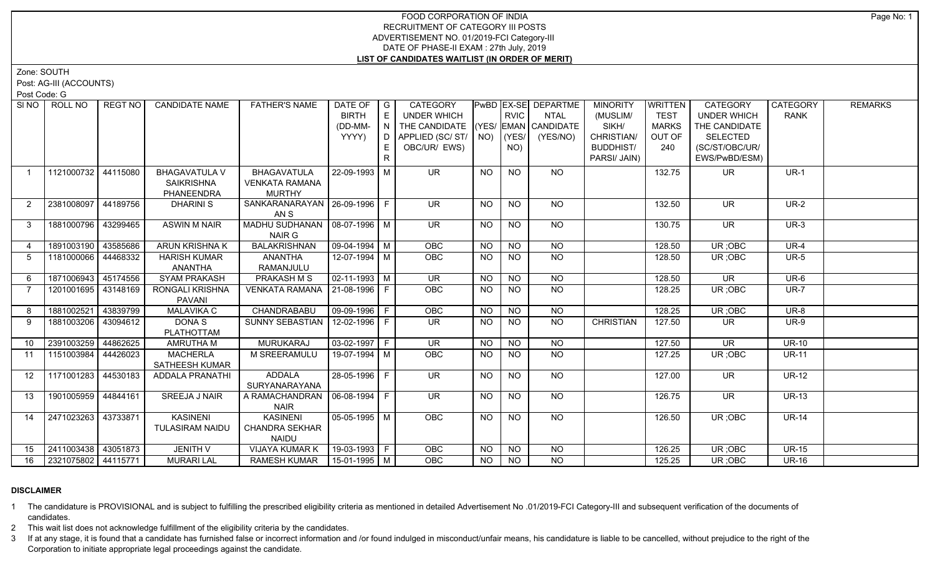#### FOOD CORPORATION OF INDIA RECRUITMENT OF CATEGORY III POSTS ADVERTISEMENT NO. 01/2019-FCI Category-III DATE OF PHASE-II EXAM : 27th July, 2019 **LIST OF CANDIDATES WAITLIST (IN ORDER OF MERIT)**

Zone: SOUTH

Post: AG-III (ACCOUNTS)

Post Code: G

| SI <sub>NO</sub> | ROLL NO             | <b>REGT NO</b> | <b>CANDIDATE NAME</b>  | <b>FATHER'S NAME</b>             | DATE OF               | $\overline{\phantom{a}}$ G | <b>CATEGORY</b>            |           |                 | PwBD EX-SE DEPARTME        | <b>MINORITY</b>  | WRITTEN      | CATEGORY                 | CATEGORY     | <b>REMARKS</b> |
|------------------|---------------------|----------------|------------------------|----------------------------------|-----------------------|----------------------------|----------------------------|-----------|-----------------|----------------------------|------------------|--------------|--------------------------|--------------|----------------|
|                  |                     |                |                        |                                  | <b>BIRTH</b>          | E                          | UNDER WHICH                |           | <b>RVIC</b>     | <b>NTAL</b>                | (MUSLIM/         | <b>TEST</b>  | <b>UNDER WHICH</b>       | <b>RANK</b>  |                |
|                  |                     |                |                        |                                  | (DD-MM-               | l N I                      | THE CANDIDATE              |           |                 | $ YES/$ EMAN $ $ CANDIDATE | SIKH/            | <b>MARKS</b> | THE CANDIDATE            |              |                |
|                  |                     |                |                        |                                  | YYYY)                 |                            | D   APPLIED (SC/ ST/   NO) |           | $ $ (YES/       | (YES/NO)                   | CHRISTIAN/       | OUT OF       | <b>SELECTED</b>          |              |                |
|                  |                     |                |                        |                                  |                       | E.                         | OBC/UR/ EWS)               |           | NO)             |                            | <b>BUDDHIST/</b> | 240          | (SC/ST/OBC/UR/           |              |                |
|                  |                     |                |                        |                                  |                       | R                          |                            |           |                 |                            | PARSI/ JAIN)     |              | EWS/PwBD/ESM)            |              |                |
| $\overline{1}$   | 1121000732          | 44115080       | <b>BHAGAVATULA V</b>   | BHAGAVATULA                      | 22-09-1993 M          |                            | <b>UR</b>                  | <b>NO</b> | <b>NO</b>       | <b>NO</b>                  |                  | 132.75       | <b>UR</b>                | $UR-1$       |                |
|                  |                     |                | <b>SAIKRISHNA</b>      | <b>VENKATA RAMANA</b>            |                       |                            |                            |           |                 |                            |                  |              |                          |              |                |
|                  |                     |                | PHANEENDRA             | <b>MURTHY</b>                    |                       |                            |                            |           |                 |                            |                  |              |                          |              |                |
| 2                | 2381008097 44189756 |                | <b>DHARINIS</b>        | SANKARANARAYAN   26-09-1996   F  |                       |                            | UR.                        | NO.       | <b>NO</b>       | NO                         |                  | 132.50       | <b>UR</b>                | <b>UR-2</b>  |                |
|                  |                     |                |                        | AN S                             |                       |                            |                            |           |                 |                            |                  |              |                          |              |                |
| $\mathbf{3}$     | 1881000796          | 43299465       | <b>ASWIN M NAIR</b>    | MADHU SUDHANAN   08-07-1996   M  |                       |                            | $\overline{\mathsf{UR}}$   | <b>NO</b> | N <sub>O</sub>  | $N$ <sup>O</sup>           |                  | 130.75       | $\overline{\mathsf{UR}}$ | $UR-3$       |                |
|                  |                     |                |                        | NAIR G                           |                       |                            |                            |           |                 |                            |                  |              |                          |              |                |
| $\overline{4}$   | 1891003190 43585686 |                | <b>ARUN KRISHNA K</b>  | <b>BALAKRISHNAN</b>              | $\sqrt{09-04-1994}$ M |                            | <b>OBC</b>                 | <b>NO</b> | <b>NO</b>       | <b>NO</b>                  |                  | 128.50       | UR; OBC                  | <b>UR-4</b>  |                |
| 5                | 1181000066          | 44468332       | <b>HARISH KUMAR</b>    | ANANTHA                          | 12-07-1994 M          |                            | OBC                        | NO.       | <b>NO</b>       | <b>NO</b>                  |                  | 128.50       | UR; OBC                  | <b>UR-5</b>  |                |
|                  |                     |                | <b>ANANTHA</b>         | RAMANJULU                        |                       |                            |                            |           |                 |                            |                  |              |                          |              |                |
| 6                | 1871006943          | 45174556       | <b>SYAM PRAKASH</b>    | <b>PRAKASH M S</b>               | $\sqrt{02-11-1993}$ M |                            | $\overline{\mathsf{UR}}$   | <b>NO</b> | <b>NO</b>       | $\overline{NO}$            |                  | 128.50       | $\overline{\mathsf{UR}}$ | $UR-6$       |                |
| 7                | 1201001695 43148169 |                | <b>RONGALI KRISHNA</b> | VENKATA RAMANA 21-08-1996   F    |                       |                            | OBC                        | <b>NO</b> | <b>NO</b>       | $\overline{NO}$            |                  | 128.25       | UR;OBC                   | $UR-7$       |                |
|                  |                     |                | <b>PAVANI</b>          |                                  |                       |                            |                            |           |                 |                            |                  |              |                          |              |                |
| 8                | 1881002521 43839799 |                | <b>MALAVIKA C</b>      | CHANDRABABU                      | $ 09-09-1996 F$       |                            | OBC                        | <b>NO</b> | <b>NO</b>       | <b>NO</b>                  |                  | 128.25       | UR; OBC                  | <b>UR-8</b>  |                |
| 9                | 1881003206 43094612 |                | <b>DONAS</b>           | SUNNY SEBASTIAN   12-02-1996   F |                       |                            | $\overline{\mathsf{UR}}$   | <b>NO</b> | $\overline{NO}$ | $\overline{NO}$            | <b>CHRISTIAN</b> | 127.50       | UR.                      | $UR-9$       |                |
|                  |                     |                | <b>PLATHOTTAM</b>      |                                  |                       |                            |                            |           |                 |                            |                  |              |                          |              |                |
| 10               | 2391003259 44862625 |                | <b>AMRUTHA M</b>       | <b>MURUKARAJ</b>                 | $03-02-1997$ F        |                            | $\overline{\mathsf{UR}}$   | <b>NO</b> | <b>NO</b>       | <b>NO</b>                  |                  | 127.50       | <b>UR</b>                | $UR-10$      |                |
| 11               | 1151003984 44426023 |                | <b>MACHERLA</b>        | M SREERAMULU                     | 19-07-1994 M          |                            | OBC                        | <b>NO</b> | <b>NO</b>       | $N$ O                      |                  | 127.25       | UR; OBC                  | <b>UR-11</b> |                |
|                  |                     |                | SATHEESH KUMAR         |                                  |                       |                            |                            |           |                 |                            |                  |              |                          |              |                |
| 12               | 1171001283 44530183 |                | ADDALA PRANATHI        | ADDALA                           | 28-05-1996 F          |                            | $\overline{\mathsf{UR}}$   | <b>NO</b> | <b>NO</b>       | NO                         |                  | 127.00       | <b>UR</b>                | <b>UR-12</b> |                |
|                  |                     |                |                        | SURYANARAYANA                    |                       |                            |                            |           |                 |                            |                  |              |                          |              |                |
| 13               | 1901005959 44844161 |                | SREEJA J NAIR          | A RAMACHANDRAN   06-08-1994   F  |                       |                            | <b>UR</b>                  | <b>NO</b> | <b>NO</b>       | <b>NO</b>                  |                  | 126.75       | <b>UR</b>                | <b>UR-13</b> |                |
|                  |                     |                |                        | <b>NAIR</b>                      |                       |                            |                            |           |                 |                            |                  |              |                          |              |                |
| 14               | 2471023263 43733871 |                | <b>KASINENI</b>        | <b>KASINENI</b>                  | $05 - 05 - 1995$ M    |                            | OBC                        | <b>NO</b> | <b>NO</b>       | $\overline{NO}$            |                  | 126.50       | UR; OBC                  | $UR-14$      |                |
|                  |                     |                | <b>TULASIRAM NAIDU</b> | <b>CHANDRA SEKHAR</b>            |                       |                            |                            |           |                 |                            |                  |              |                          |              |                |
|                  |                     |                |                        | <b>NAIDU</b>                     |                       |                            |                            |           |                 |                            |                  |              |                          |              |                |
| 15               | 2411003438 43051873 |                | <b>JENITH V</b>        | <b>VIJAYA KUMAR K</b>            | 19-03-1993 F          |                            | OBC                        | <b>NO</b> | <b>NO</b>       | <b>NO</b>                  |                  | 126.25       | UR; OBC                  | <b>UR-15</b> |                |
| 16               | 2321075802 44115771 |                | <b>MURARI LAL</b>      | RAMESH KUMAR   15-01-1995   M    |                       |                            | <b>OBC</b>                 | NO        | NO              | <b>NO</b>                  |                  | 125.25       | UR; OBC                  | <b>UR-16</b> |                |

## **DISCLAIMER**

1 The candidature is PROVISIONAL and is subject to fulfilling the prescribed eligibility criteria as mentioned in detailed Advertisement No .01/2019-FCI Category-III and subsequent verification of the documents of candidates.

2 This wait list does not acknowledge fulfillment of the eligibility criteria by the candidates.

3 If at any stage, it is found that a candidate has furnished false or incorrect information and /or found indulged in misconduct/unfair means, his candidature is liable to be cancelled, without prejudice to the right of t Corporation to initiate appropriate legal proceedings against the candidate.

Page No: 1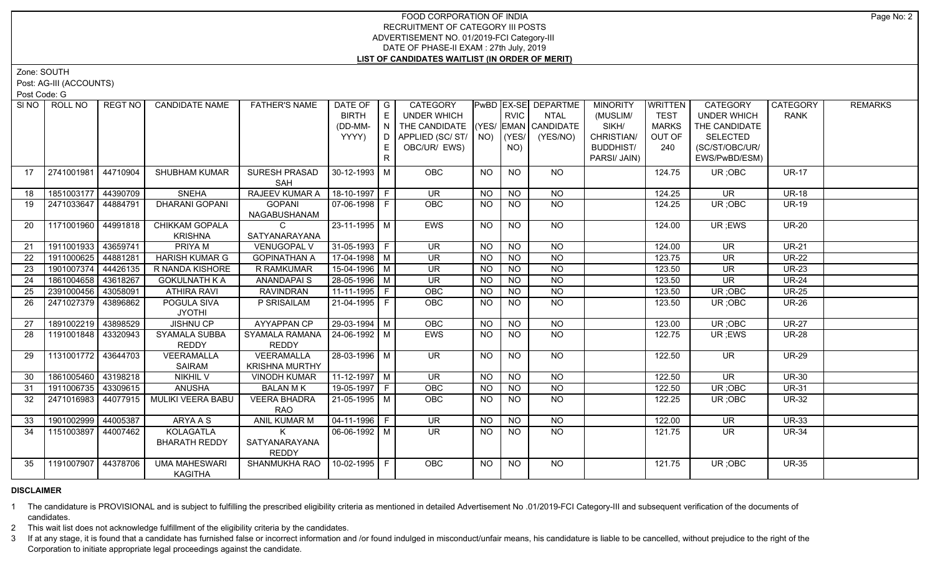#### FOOD CORPORATION OF INDIA RECRUITMENT OF CATEGORY III POSTS ADVERTISEMENT NO. 01/2019-FCI Category-III DATE OF PHASE-II EXAM : 27th July, 2019 **LIST OF CANDIDATES WAITLIST (IN ORDER OF MERIT)**

Zone: SOUTH

Post: AG-III (ACCOUNTS)

Post Code: G

| SI NO | ROLL NO             | REGT NO  | <b>CANDIDATE NAME</b>                  | <b>FATHER'S NAME</b>  | DATE OF            | I G | CATEGORY                           |           |                | PwBD EX-SE DEPARTME | <b>MINORITY</b>  | WRITTEN      | <b>CATEGORY</b>          | <b>CATEGORY</b> | <b>REMARKS</b> |
|-------|---------------------|----------|----------------------------------------|-----------------------|--------------------|-----|------------------------------------|-----------|----------------|---------------------|------------------|--------------|--------------------------|-----------------|----------------|
|       |                     |          |                                        |                       | <b>BIRTH</b>       | E   | UNDER WHICH                        |           | <b>RVIC</b>    | NTAL                | (MUSLIM/         | <b>TEST</b>  | <b>UNDER WHICH</b>       | <b>RANK</b>     |                |
|       |                     |          |                                        |                       | (DD-MM-            | N   | THE CANDIDATE (YES/ EMAN CANDIDATE |           |                |                     | SIKH/            | <b>MARKS</b> | THE CANDIDATE            |                 |                |
|       |                     |          |                                        |                       | YYYY)              | D.  | APPLIED (SC/ ST/ NO)               |           | (YES/          | (YES/NO)            | CHRISTIAN/       | OUT OF       | <b>SELECTED</b>          |                 |                |
|       |                     |          |                                        |                       |                    | E.  | OBC/UR/ EWS)                       |           | NO)            |                     | <b>BUDDHIST/</b> | 240          | (SC/ST/OBC/UR/           |                 |                |
|       |                     |          |                                        |                       |                    | R   |                                    |           |                |                     | PARSI/ JAIN)     |              | EWS/PwBD/ESM)            |                 |                |
| 17    | 2741001981          | 44710904 | SHUBHAM KUMAR                          | SURESH PRASAD         | 30-12-1993 M       |     | <b>OBC</b>                         | <b>NO</b> | <b>NO</b>      | NO                  |                  | 124.75       | UR; OBC                  | <b>UR-17</b>    |                |
|       |                     |          |                                        | SAH                   |                    |     |                                    |           |                |                     |                  |              |                          |                 |                |
| 18    | 1851003177 44390709 |          | <b>SNEHA</b>                           | RAJEEV KUMAR A        | 18-10-1997 F       |     | UR.                                | NO.       | <b>NO</b>      | <b>NO</b>           |                  | 124.25       | <b>UR</b>                | <b>UR-18</b>    |                |
| 19    | 2471033647 44884791 |          | <b>DHARANI GOPANI</b>                  | <b>GOPANI</b>         | 07-06-1998 F       |     | <b>OBC</b>                         | <b>NO</b> | <b>NO</b>      | <b>NO</b>           |                  | 124.25       | UR; OBC                  | <b>UR-19</b>    |                |
|       |                     |          |                                        | NAGABUSHANAM          |                    |     |                                    |           |                |                     |                  |              |                          |                 |                |
| 20    | 1171001960 44991818 |          | CHIKKAM GOPALA                         | $\mathcal{C}$         | $23 - 11 - 1995$ M |     | <b>EWS</b>                         | NO.       | NO.            | NO                  |                  | 124.00       | UR; EWS                  | <b>UR-20</b>    |                |
|       |                     |          | <b>KRISHNA</b>                         | SATYANARAYANA         |                    |     |                                    |           |                |                     |                  |              |                          |                 |                |
| 21    | 1911001933 43659741 |          | <b>PRIYAM</b>                          | <b>VENUGOPAL V</b>    | $31-05-1993$ F     |     | $\overline{\mathsf{UR}}$           | <b>NO</b> | <b>NO</b>      | NO                  |                  | 124.00       | $\overline{\mathsf{UR}}$ | $UR-21$         |                |
| 22    | 1911000625          | 44881281 | <b>HARISH KUMAR G</b>                  | <b>GOPINATHAN A</b>   | $17-04-1998$ M     |     | <b>UR</b>                          | <b>NO</b> | <b>NO</b>      | N <sub>O</sub>      |                  | 123.75       | <b>UR</b>                | $UR-22$         |                |
| 23    | 1901007374          | 44426135 | R NANDA KISHORE                        | R RAMKUMAR            | $15-04-1996$ M     |     | $\overline{\mathsf{UR}}$           | <b>NO</b> | <b>NO</b>      | $N$ O               |                  | 123.50       | $\overline{\mathsf{UR}}$ | <b>UR-23</b>    |                |
| 24    | 1861004658          | 43618267 | <b>GOKULNATH K A</b>                   | <b>ANANDAPAIS</b>     | $28-05-1996$ M     |     | $\overline{\mathsf{UR}}$           | <b>NO</b> | N <sub>O</sub> | $N$ O               |                  | 123.50       | $\overline{\mathsf{UR}}$ | <b>UR-24</b>    |                |
| 25    | 2391000456          | 43058091 | <b>ATHIRA RAVI</b>                     | <b>RAVINDRAN</b>      | $11-11-1995$ F     |     | OBC                                | <b>NO</b> | <b>NO</b>      | $\overline{NO}$     |                  | 123.50       | UR; OBC                  | $UR-25$         |                |
| 26    | 2471027379 43896862 |          | POGULA SIVA                            | P SRISAILAM           | 21-04-1995 F       |     | OBC                                | <b>NO</b> | <b>NO</b>      | <b>NO</b>           |                  | 123.50       | UR; OBC                  | <b>UR-26</b>    |                |
|       |                     |          | <b>JYOTHI</b>                          |                       |                    |     |                                    |           |                |                     |                  |              |                          |                 |                |
| 27    | 1891002219 43898529 |          | <b>JISHNU CP</b>                       | <b>AYYAPPAN CP</b>    | $29-03-1994$ M     |     | OBC                                | <b>NO</b> | <b>NO</b>      | <b>NO</b>           |                  | 123.00       | UR; OBC                  | <b>UR-27</b>    |                |
| 28    | 1191001848 43320943 |          | SYAMALA SUBBA                          | SYAMALA RAMANA        | 24-06-1992   M     |     | EWS                                | <b>NO</b> | <b>NO</b>      | <b>NO</b>           |                  | 122.75       | UR; EWS                  | <b>UR-28</b>    |                |
|       |                     |          | REDDY                                  | <b>REDDY</b>          |                    |     |                                    |           |                |                     |                  |              |                          |                 |                |
| 29    | 1131001772 43644703 |          | VEERAMALLA                             | VEERAMALLA            | 28-03-1996 M       |     | $\overline{\mathsf{UR}}$           | NO.       | <b>NO</b>      | NO                  |                  | 122.50       | UR.                      | <b>UR-29</b>    |                |
|       |                     |          | <b>SAIRAM</b>                          | <b>KRISHNA MURTHY</b> |                    |     |                                    |           |                |                     |                  |              |                          |                 |                |
| 30    | 1861005460 43198218 |          | <b>NIKHIL V</b>                        | <b>VINODH KUMAR</b>   | $11-12-1997$ M     |     | $\overline{\mathsf{UR}}$           | <b>NO</b> | <b>NO</b>      | $\overline{NQ}$     |                  | 122.50       | $\overline{\mathsf{UR}}$ | $UR-30$         |                |
| 31    | 1911006735 43309615 |          | <b>ANUSHA</b>                          | <b>BALAN MK</b>       | 19-05-1997 F       |     | OBC                                | <b>NO</b> | <b>NO</b>      | <b>NO</b>           |                  | 122.50       | UR; OBC                  | <b>UR-31</b>    |                |
| 32    | 2471016983          | 44077915 | MULIKI VEERA BABU                      | <b>VEERA BHADRA</b>   | 21-05-1995 M       |     | OBC                                | <b>NO</b> | <b>NO</b>      | <b>NO</b>           |                  | 122.25       | UR; OBC                  | <b>UR-32</b>    |                |
|       |                     |          |                                        | <b>RAO</b>            |                    |     |                                    |           |                |                     |                  |              |                          |                 |                |
| 33    | 1901002999 44005387 |          | ARYA A S                               | ANIL KUMAR M          | 04-11-1996 F       |     | <b>UR</b>                          | <b>NO</b> | <b>NO</b>      | <b>NO</b>           |                  | 122.00       | <b>UR</b>                | <b>UR-33</b>    |                |
| 34    | 1151003897 44007462 |          | KOLAGATLA                              | K                     | 06-06-1992   M     |     | $\overline{\mathsf{UR}}$           | <b>NO</b> | NO.            | <b>NO</b>           |                  | 121.75       | <b>UR</b>                | <b>UR-34</b>    |                |
|       |                     |          | <b>BHARATH REDDY</b>                   | SATYANARAYANA         |                    |     |                                    |           |                |                     |                  |              |                          |                 |                |
|       |                     |          |                                        | <b>REDDY</b>          |                    |     |                                    |           |                |                     |                  |              |                          |                 |                |
| 35    | 1191007907 44378706 |          | <b>UMA MAHESWARI</b><br><b>KAGITHA</b> | SHANMUKHA RAO         | 10-02-1995 F       |     | OBC                                | <b>NO</b> | <b>NO</b>      | <b>NO</b>           |                  | 121.75       | UR; OBC                  | <b>UR-35</b>    |                |

### **DISCLAIMER**

1 The candidature is PROVISIONAL and is subject to fulfilling the prescribed eligibility criteria as mentioned in detailed Advertisement No .01/2019-FCI Category-III and subsequent verification of the documents of candidates.

2 This wait list does not acknowledge fulfillment of the eligibility criteria by the candidates.

3 If at any stage, it is found that a candidate has furnished false or incorrect information and /or found indulged in misconduct/unfair means, his candidature is liable to be cancelled, without prejudice to the right of t Corporation to initiate appropriate legal proceedings against the candidate.

Page No: 2